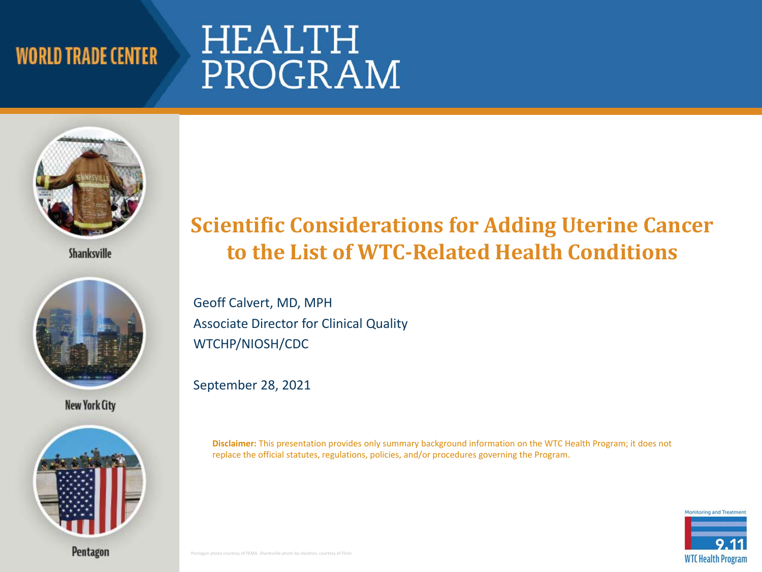# HEALTH PROGRAM



**Shanksville** 



**New York City** 



#### **to the List of WTC-Related Health Conditions Scientific Considerations for Adding Uterine Cancer**

 Geoff Calvert, MD, MPH Associate Director for Clinical Quality WTCHP/NIOSH/CDC

September 28, 2021

 **Disclaimer:** This presentation provides only summary background information on the WTC Health Program; it does not replace the official statutes, regulations, policies, and/or procedures governing the Program.

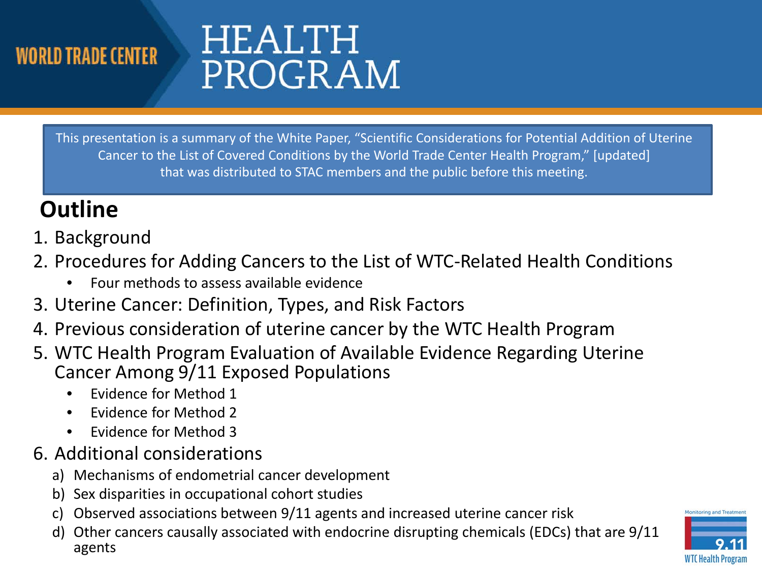# HEALTH PROGRAM

 This presentation is a summary of the White Paper, "Scientific Considerations for Potential Addition of Uterine Cancer to the List of Covered Conditions by the World Trade Center Health Program," [updated] that was distributed to STAC members and the public before this meeting.

### **Outline**

- 1. Background
- 2. Procedures for Adding Cancers to the List of WTC-Related Health Conditions
	- Four methods to assess available evidence
- 3. Uterine Cancer: Definition, Types, and Risk Factors
- 4. Previous consideration of uterine cancer by the WTC Health Program
- 5. WTC Health Program Evaluation of Available Evidence Regarding Uterine Cancer Among 9/11 Exposed Populations
	- Evidence for Method 1
	- Evidence for Method 2
	- Evidence for Method 3
- 6. Additional considerations
	- a) Mechanisms of endometrial cancer development
	- b) Sex disparities in occupational cohort studies
	- c) Observed associations between 9/11 agents and increased uterine cancer risk
	- d) Other cancers causally associated with endocrine disrupting chemicals (EDCs) that are 9/11 agents



**Monitoring and Treatme**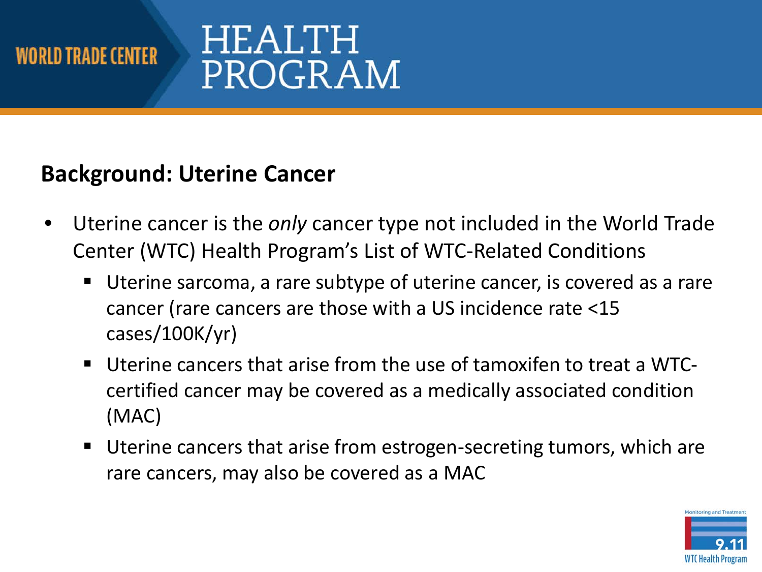# **HEALTH** PROGRAM

### **Background: Uterine Cancer**

- • Uterine cancer is the *only* cancer type not included in the World Trade Center (WTC) Health Program's List of WTC-Related Conditions
	- Uterine sarcoma, a rare subtype of uterine cancer, is covered as a rare cancer (rare cancers are those with a US incidence rate <15 cases/100K/yr)
	- Uterine cancers that arise from the use of tamoxifen to treat a WTC- certified cancer may be covered as a medically associated condition (MAC)
	- **Uterine cancers that arise from estrogen-secreting tumors, which are** rare cancers, may also be covered as a MAC

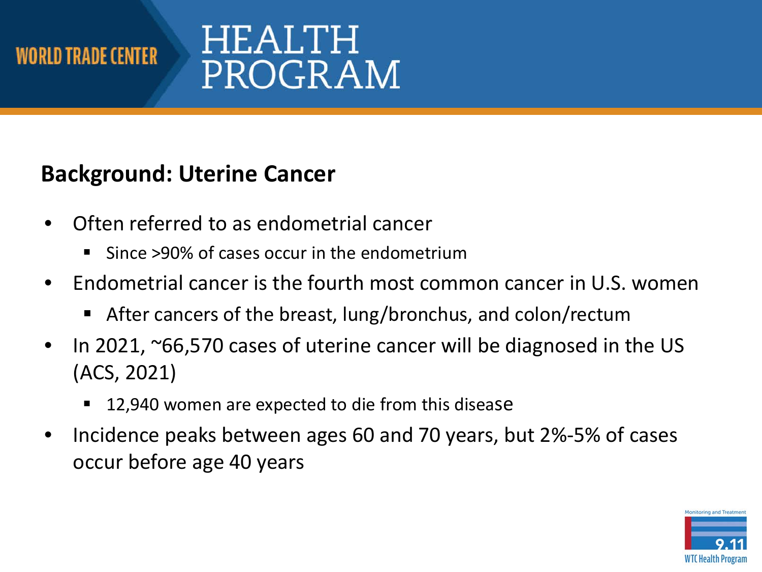# HEALTH PROGRAM

#### **Background: Uterine Cancer**

- • Often referred to as endometrial cancer
	- Since >90% of cases occur in the endometrium
- Endometrial cancer is the fourth most common cancer in U.S. women
	- After cancers of the breast, lung/bronchus, and colon/rectum
- In 2021, ~66,570 cases of uterine cancer will be diagnosed in the US (ACS, 2021)
	- 12,940 women are expected to die from this disease
- • Incidence peaks between ages 60 and 70 years, but 2%-5% of cases occur before age 40 years

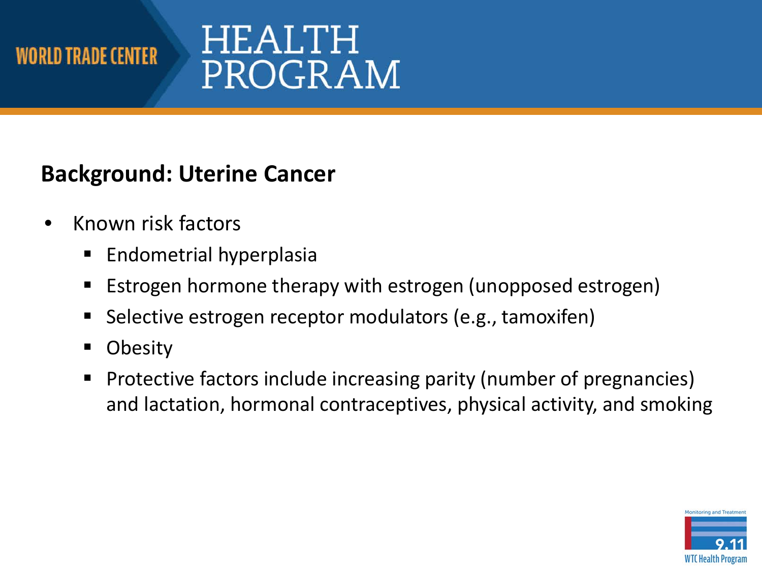# HEALTH PROGRAM

#### **Background: Uterine Cancer**

- Known risk factors
	- **Endometrial hyperplasia**
	- **Example 1** Estrogen hormone therapy with estrogen (unopposed estrogen)
	- **Selective estrogen receptor modulators (e.g., tamoxifen)**
	- Obesity
	- **Protective factors include increasing parity (number of pregnancies)** and lactation, hormonal contraceptives, physical activity, and smoking

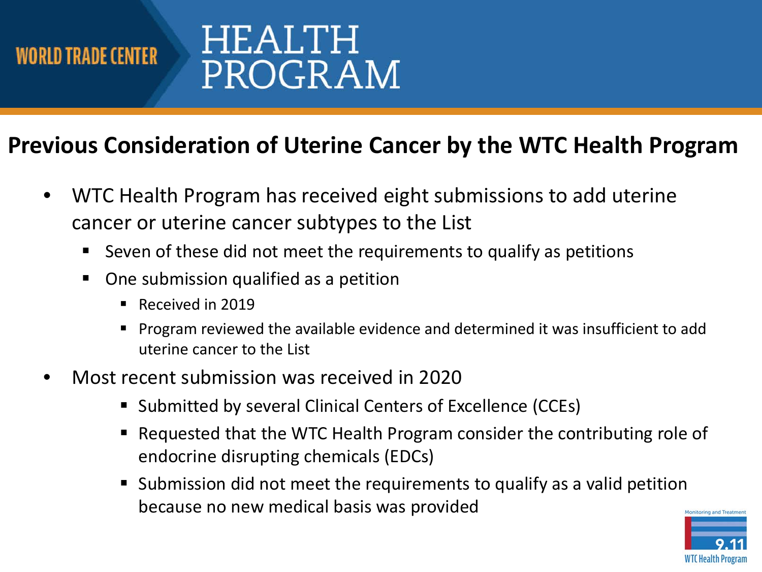# HEALTH PROGRAM

### **Previous Consideration of Uterine Cancer by the WTC Health Program**

- • WTC Health Program has received eight submissions to add uterine cancer or uterine cancer subtypes to the List
	- **Seven of these did not meet the requirements to qualify as petitions**
	- One submission qualified as a petition
		- Received in 2019
		- **Program reviewed the available evidence and determined it was insufficient to add** uterine cancer to the List
- Most recent submission was received in 2020
	- **Submitted by several Clinical Centers of Excellence (CCEs)**
	- Requested that the WTC Health Program consider the contributing role of endocrine disrupting chemicals (EDCs)
	- Submission did not meet the requirements to qualify as a valid petition because no new medical basis was provided

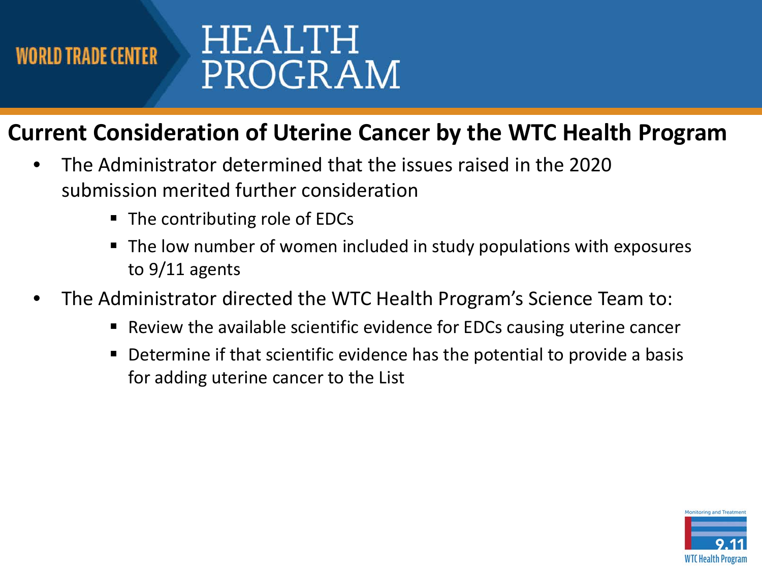

#### **Current Consideration of Uterine Cancer by the WTC Health Program**

- • The Administrator determined that the issues raised in the 2020 submission merited further consideration
	- The contributing role of EDCs
	- The low number of women included in study populations with exposures to 9/11 agents
- • The Administrator directed the WTC Health Program's Science Team to:
	- Review the available scientific evidence for EDCs causing uterine cancer
	- **Determine if that scientific evidence has the potential to provide a basis** for adding uterine cancer to the List

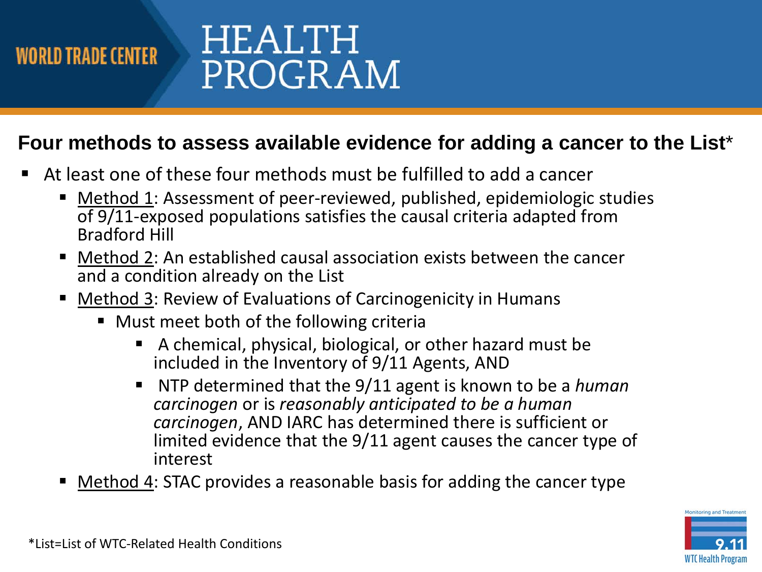

## HEALTH PROGRAM

#### **Four methods to assess available evidence for adding a cancer to the List**\*

- At least one of these four methods must be fulfilled to add a cancer
	- Method 1: Assessment of peer-reviewed, published, epidemiologic studies of 9/11-exposed populations satisfies the causal criteria adapted from Bradford Hill
	- Method 2: An established causal association exists between the cancer and a condition already on the List
	- Method 3: Review of Evaluations of Carcinogenicity in Humans
		- Must meet both of the following criteria
			- A chemical, physical, biological, or other hazard must be included in the Inventory of 9/11 Agents, AND
			- NTP determined that the 9/11 agent is known to be a *human carcinogen*, AND IARC has determined there is sufficient or *carcinogen* or is *reasonably anticipated to be a human*  limited evidence that the 9/11 agent causes the cancer type of interest
	- Method 4: STAC provides a reasonable basis for adding the cancer type

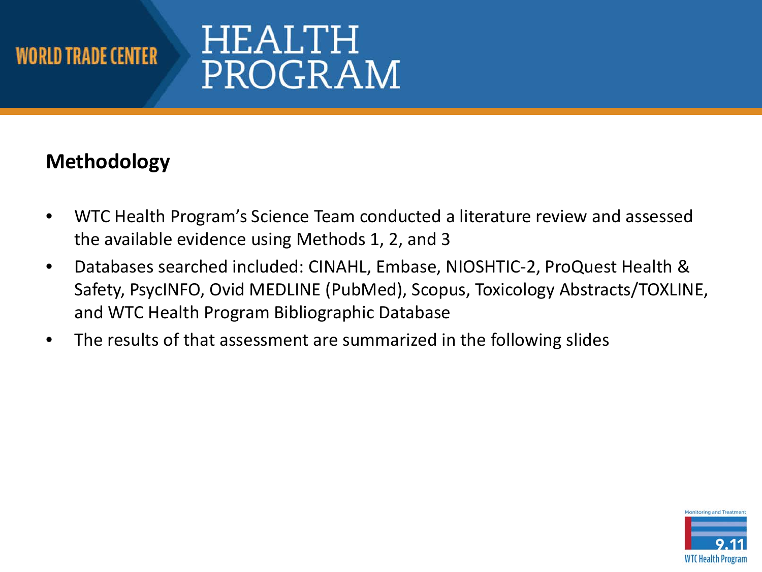# HEALTH PROGRAM

#### **Methodology**

- • WTC Health Program's Science Team conducted a literature review and assessed the available evidence using Methods 1, 2, and 3
- • Databases searched included: CINAHL, Embase, NIOSHTIC-2, ProQuest Health & Safety, PsycINFO, Ovid MEDLINE (PubMed), Scopus, Toxicology Abstracts/TOXLINE, and WTC Health Program Bibliographic Database
- The results of that assessment are summarized in the following slides

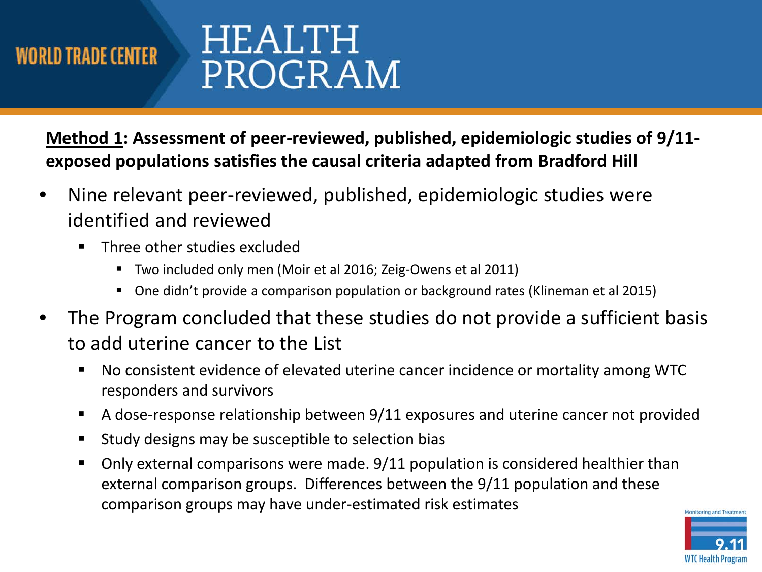**Method 1: Assessment of peer-reviewed, published, epidemiologic studies of 9/11 exposed populations satisfies the causal criteria adapted from Bradford Hill** 

- Nine relevant peer-reviewed, published, epidemiologic studies were identified and reviewed
	- **Three other studies excluded** 
		- **Two included only men (Moir et al 2016; Zeig-Owens et al 2011)**
		- **One didn't provide a comparison population or background rates (Klineman et al 2015)**
- • The Program concluded that these studies do not provide a sufficient basis to add uterine cancer to the List
	- No consistent evidence of elevated uterine cancer incidence or mortality among WTC responders and survivors
	- A dose-response relationship between 9/11 exposures and uterine cancer not provided
	- Study designs may be susceptible to selection bias
	- **Dialuma 1** Only external comparisons were made. 9/11 population is considered healthier than external comparison groups. Differences between the 9/11 population and these comparison groups may have under-estimated risk estimates

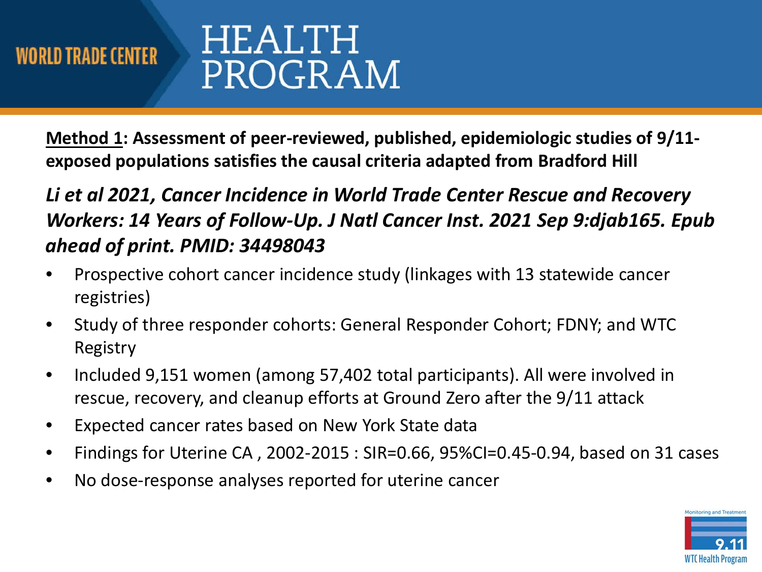**Method 1: Assessment of peer-reviewed, published, epidemiologic studies of 9/11 exposed populations satisfies the causal criteria adapted from Bradford Hill** 

#### *Li et al 2021, Cancer Incidence in World Trade Center Rescue and Recovery Workers: 14 Years of Follow-Up. J Natl Cancer Inst. 2021 Sep 9:djab165. Epub ahead of print. PMID: 34498043*

- Prospective cohort cancer incidence study (linkages with 13 statewide cancer registries)
- • Study of three responder cohorts: General Responder Cohort; FDNY; and WTC Registry
- • Included 9,151 women (among 57,402 total participants). All were involved in rescue, recovery, and cleanup efforts at Ground Zero after the 9/11 attack
- Expected cancer rates based on New York State data
- Findings for Uterine CA , 2002-2015 : SIR=0.66, 95%CI=0.45-0.94, based on 31 cases
- No dose-response analyses reported for uterine cancer

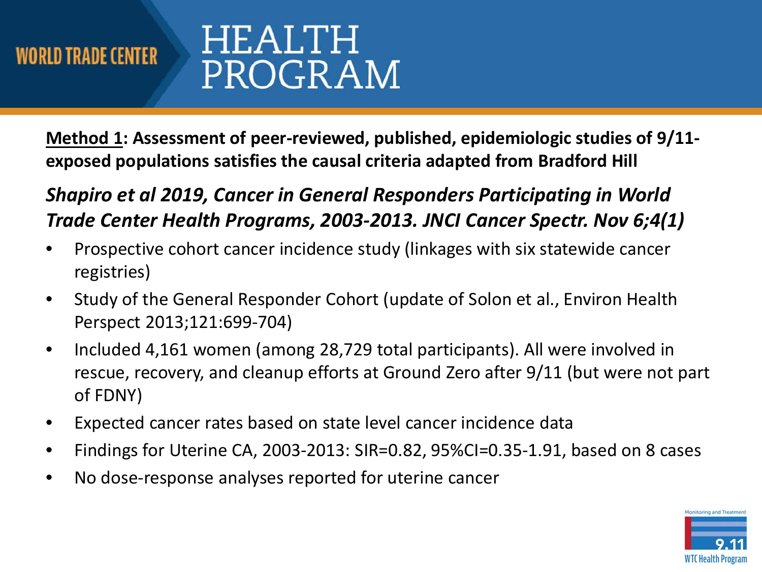**Method 1: Assessment of peer-reviewed, published, epidemiologic studies of 9/11 exposed populations satisfies the causal criteria adapted from Bradford Hill** 

 *Shapiro et al 2019, Cancer in General Responders Participating in World Trade Center Health Programs, 2003-2013. JNCI Cancer Spectr. Nov 6;4(1)* 

- • Prospective cohort cancer incidence study (linkages with six statewide cancer registries)
- • Study of the General Responder Cohort (update of Solon et al., Environ Health Perspect 2013;121:699-704)
- • Included 4,161 women (among 28,729 total participants). All were involved in rescue, recovery, and cleanup efforts at Ground Zero after 9/11 (but were not part of FDNY)
- Expected cancer rates based on state level cancer incidence data
- Findings for Uterine CA, 2003-2013: SIR=0.82, 95%CI=0.35-1.91, based on 8 cases
- No dose-response analyses reported for uterine cancer

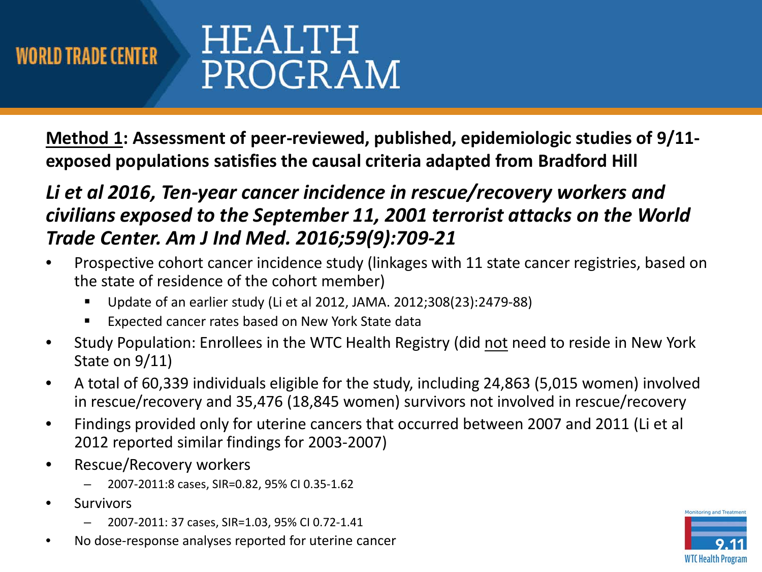**Method 1: Assessment of peer-reviewed, published, epidemiologic studies of 9/11 exposed populations satisfies the causal criteria adapted from Bradford Hill** 

#### *Li et al 2016, Ten-year cancer incidence in rescue/recovery workers and civilians exposed to the September 11, 2001 terrorist attacks on the World Trade Center. Am J Ind Med. 2016;59(9):709-21*

- • Prospective cohort cancer incidence study (linkages with 11 state cancer registries, based on the state of residence of the cohort member)
	- Update of an earlier study (Li et al 2012, JAMA. 2012;308(23):2479-88)
	- **Expected cancer rates based on New York State data**
- Study Population: Enrollees in the WTC Health Registry (did not need to reside in New York State on 9/11)
- • A total of 60,339 individuals eligible for the study, including 24,863 (5,015 women) involved in rescue/recovery and 35,476 (18,845 women) survivors not involved in rescue/recovery
- Findings provided only for uterine cancers that occurred between 2007 and 2011 (Li et al 2012 reported similar findings for 2003-2007)
- Rescue/Recovery workers
	- 2007-2011:8 cases, SIR=0.82, 95% CI 0.35-1.62
- **Survivors** 
	- 2007-2011: 37 cases, SIR=1.03, 95% CI 0.72-1.41
- No dose-response analyses reported for uterine cancer

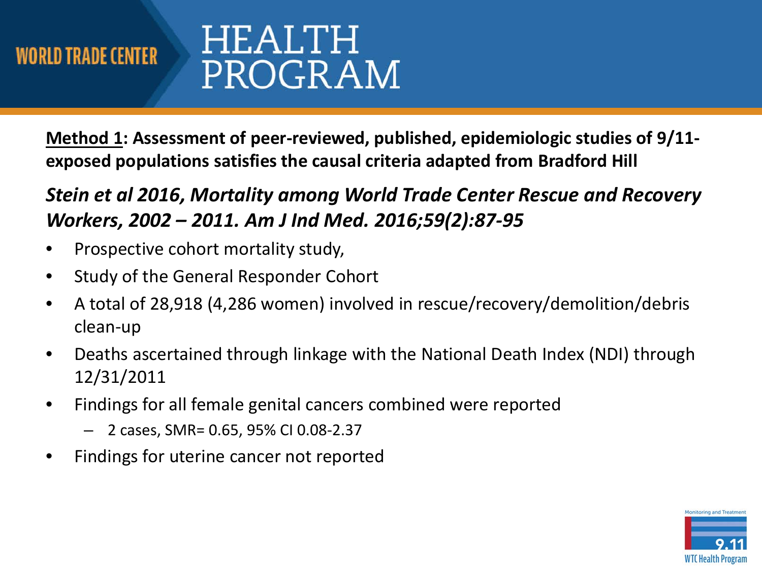**Method 1: Assessment of peer-reviewed, published, epidemiologic studies of 9/11 exposed populations satisfies the causal criteria adapted from Bradford Hill** 

 *Stein et al 2016, Mortality among World Trade Center Rescue and Recovery Workers, 2002 – 2011. Am J Ind Med. 2016;59(2):87-95* 

- Prospective cohort mortality study,
- Study of the General Responder Cohort
- • A total of 28,918 (4,286 women) involved in rescue/recovery/demolition/debris clean-up
- Deaths ascertained through linkage with the National Death Index (NDI) through 12/31/2011
- Findings for all female genital cancers combined were reported
	- 2 cases, SMR= 0.65, 95% CI 0.08-2.37
- Findings for uterine cancer not reported

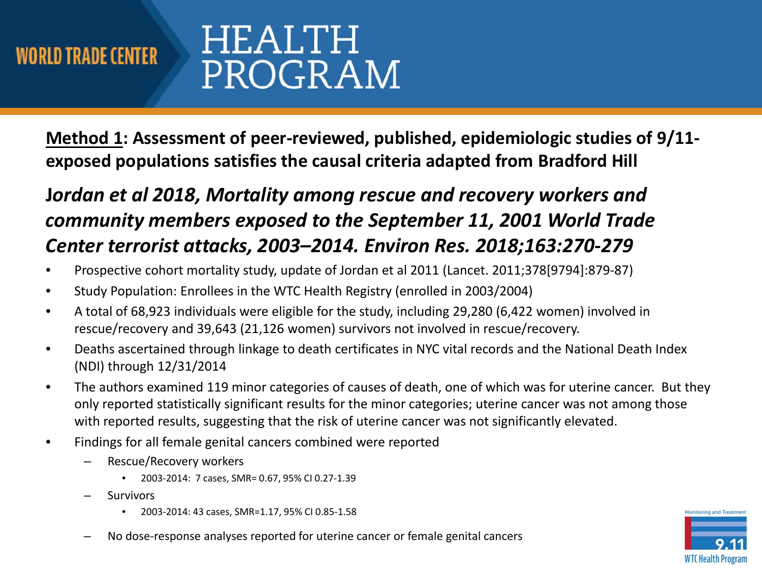**Method 1: Assessment of peer-reviewed, published, epidemiologic studies of 9/11 exposed populations satisfies the causal criteria adapted from Bradford Hill** 

#### **J***ordan et al 2018, Mortality among rescue and recovery workers and community members exposed to the September 11, 2001 World Trade Center terrorist attacks, 2003–2014. Environ Res. 2018;163:270-279*

- Prospective cohort mortality study, update of Jordan et al 2011 (Lancet. 2011;378[9794]:879-87)
- Study Population: Enrollees in the WTC Health Registry (enrolled in 2003/2004)
- • A total of 68,923 individuals were eligible for the study, including 29,280 (6,422 women) involved in rescue/recovery and 39,643 (21,126 women) survivors not involved in rescue/recovery.
- • Deaths ascertained through linkage to death certificates in NYC vital records and the National Death Index (NDI) through 12/31/2014
- • The authors examined 119 minor categories of causes of death, one of which was for uterine cancer. But they only reported statistically significant results for the minor categories; uterine cancer was not among those with reported results, suggesting that the risk of uterine cancer was not significantly elevated.
- Findings for all female genital cancers combined were reported
	- Rescue/Recovery workers
		- 2003-2014: 7 cases, SMR= 0.67, 95% CI 0.27-1.39
	- Survivors
		- 2003-2014: 43 cases, SMR=1.17, 95% CI 0.85-1.58
	- No dose-response analyses reported for uterine cancer or female genital cancers

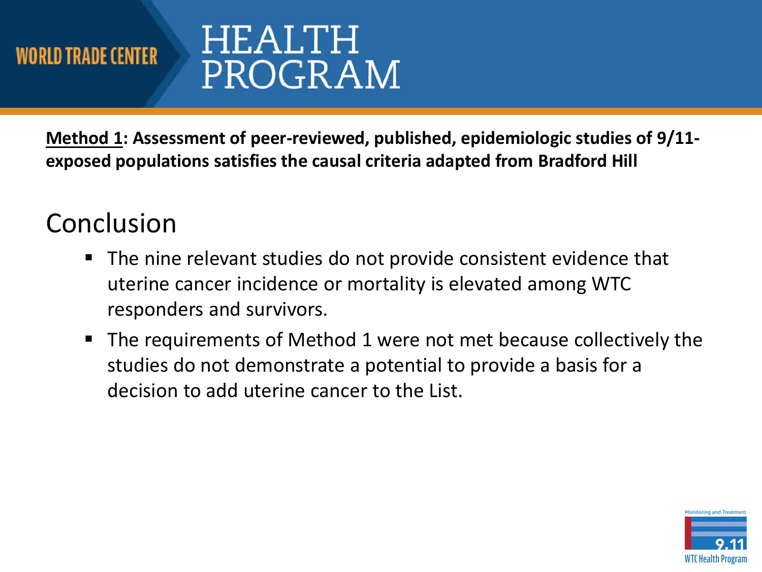# HEALTH PROGRAM

 **Method 1: Assessment of peer-reviewed, published, epidemiologic studies of 9/11 exposed populations satisfies the causal criteria adapted from Bradford Hill** 

## Conclusion

- The nine relevant studies do not provide consistent evidence that uterine cancer incidence or mortality is elevated among WTC responders and survivors.
- **The requirements of Method 1 were not met because collectively the**  studies do not demonstrate a potential to provide a basis for a decision to add uterine cancer to the List.

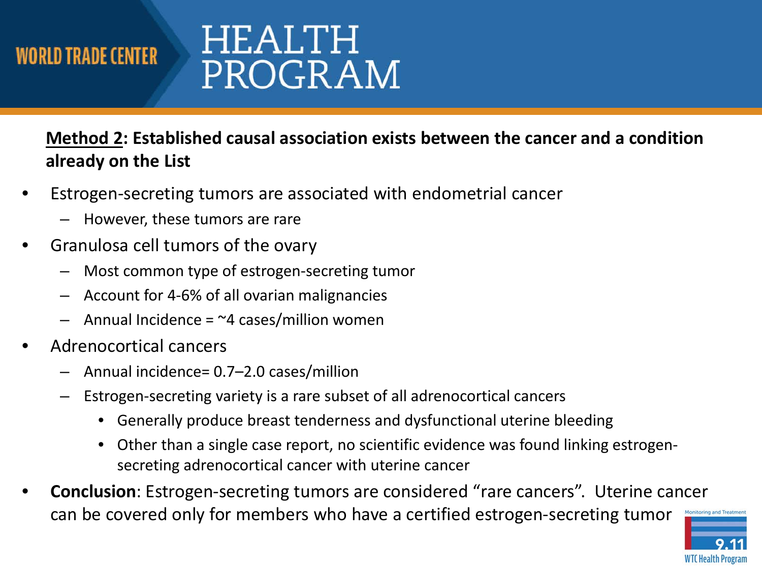## HEALTH PROGRAM

#### **Method 2: Established causal association exists between the cancer and a condition already on the List**

- • Estrogen-secreting tumors are associated with endometrial cancer
	- However, these tumors are rare
- • Granulosa cell tumors of the ovary
	- Most common type of estrogen-secreting tumor
	- Account for 4-6% of all ovarian malignancies
	- Annual Incidence =  $\approx$ 4 cases/million women
- Adrenocortical cancers
	- Annual incidence= 0.7–2.0 cases/million
	- – Estrogen-secreting variety is a rare subset of all adrenocortical cancers
		- Generally produce breast tenderness and dysfunctional uterine bleeding
		- • Other than a single case report, no scientific evidence was found linking estrogensecreting adrenocortical cancer with uterine cancer
- • **Conclusion**: Estrogen-secreting tumors are considered "rare cancers". Uterine cancer can be covered only for members who have a certified estrogen-secreting tumor

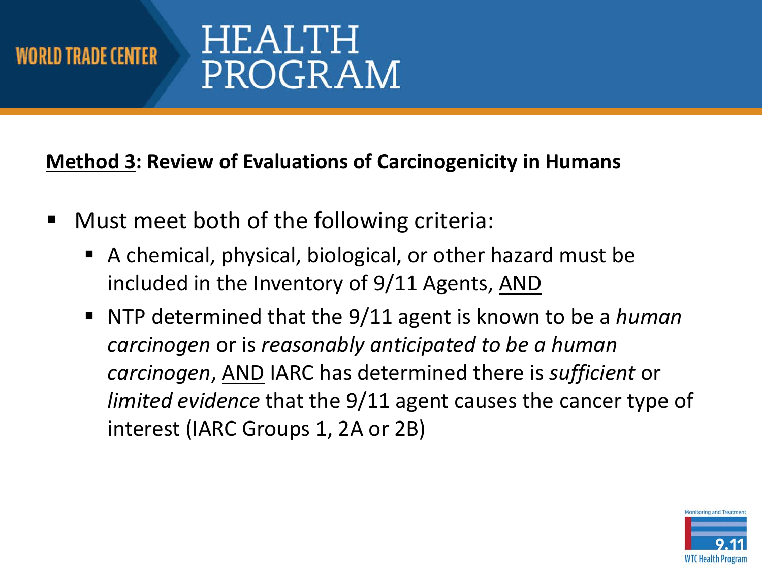## HEALTH PROGRAM

**Method 3: Review of Evaluations of Carcinogenicity in Humans** 

- **Must meet both of the following criteria:** 
	- A chemical, physical, biological, or other hazard must be included in the Inventory of 9/11 Agents, AND
	- NTP determined that the 9/11 agent is known to be a *human carcinogen* or is *reasonably anticipated to be a human limited evidence* that the 9/11 agent causes the cancer type of *carcinogen*, AND IARC has determined there is *sufficient* or interest (IARC Groups 1, 2A or 2B)

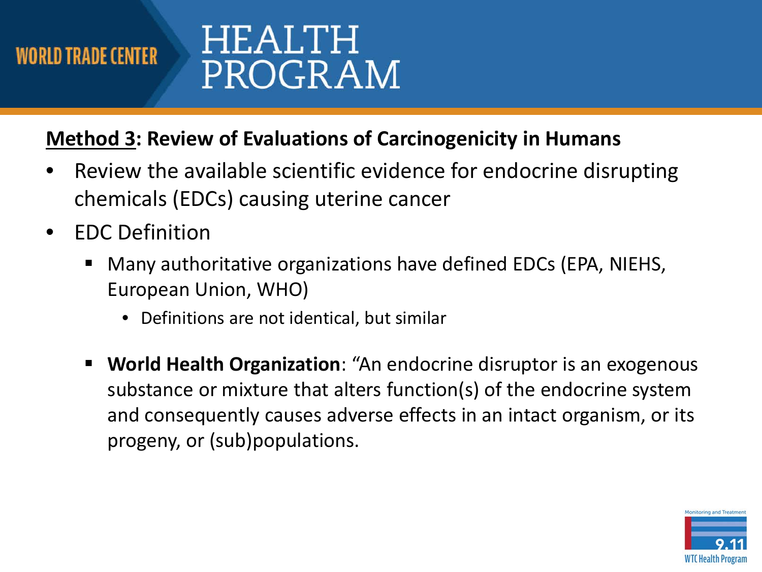## HEALTH PROGRAM

#### **Method 3: Review of Evaluations of Carcinogenicity in Humans**

- chemicals (EDCs) causing uterine cancer • Review the available scientific evidence for endocrine disrupting
- EDC Definition
	- Many authoritative organizations have defined EDCs (EPA, NIEHS, European Union, WHO)
		- Definitions are not identical, but similar
	- **World Health Organization**: "An endocrine disruptor is an exogenous substance or mixture that alters function(s) of the endocrine system and consequently causes adverse effects in an intact organism, or its progeny, or (sub)populations.

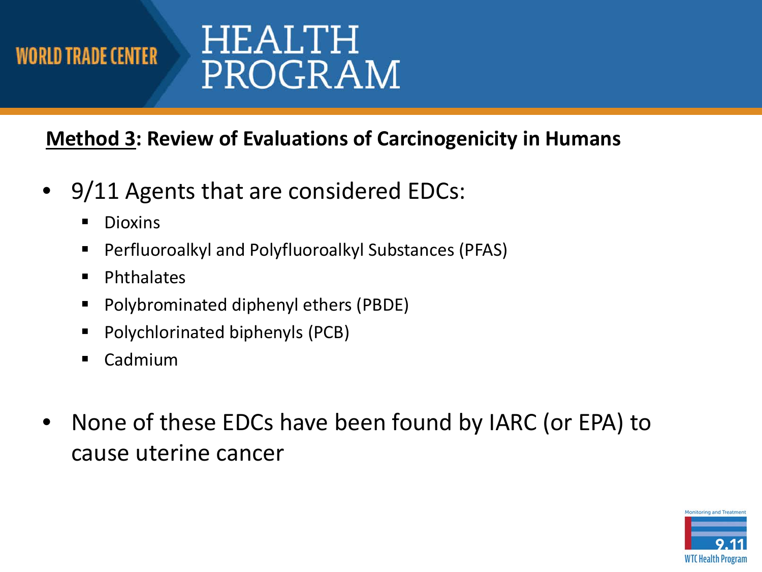# HEALTH PROGRAM

#### **Method 3: Review of Evaluations of Carcinogenicity in Humans**

- 9/11 Agents that are considered EDCs:
	- Dioxins
	- **Perfluoroalkyl and Polyfluoroalkyl Substances (PFAS)**
	- **Phthalates**
	- **Polybrominated diphenyl ethers (PBDE)**
	- Polychlorinated biphenyls (PCB)
	- Cadmium
- • None of these EDCs have been found by IARC (or EPA) to cause uterine cancer

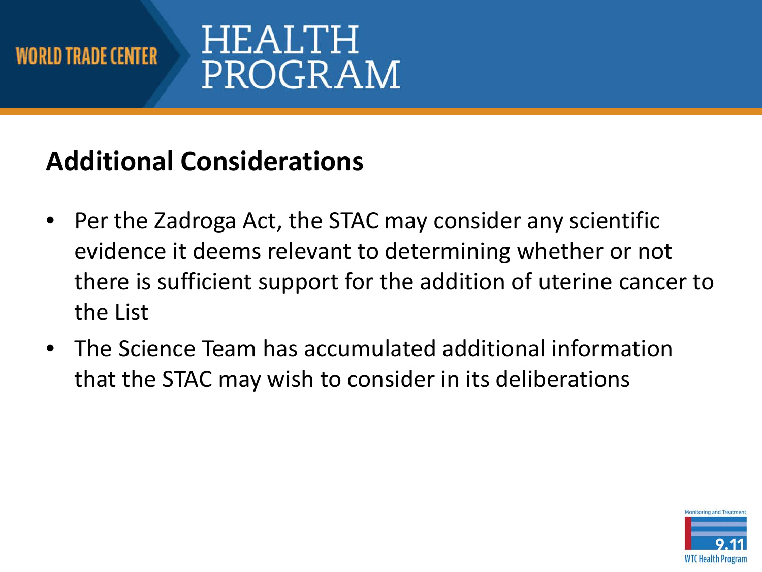# HEALTH PROGRAM

## **Additional Considerations**

- • Per the Zadroga Act, the STAC may consider any scientific evidence it deems relevant to determining whether or not there is sufficient support for the addition of uterine cancer to the List
- • The Science Team has accumulated additional information that the STAC may wish to consider in its deliberations

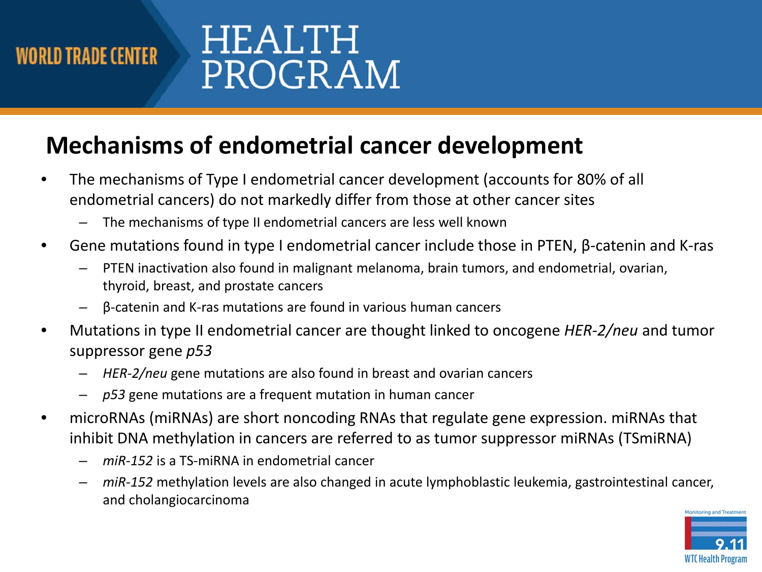# HEALTH PROGRAM

### **Mechanisms of endometrial cancer development**

- • The mechanisms of Type I endometrial cancer development (accounts for 80% of all endometrial cancers) do not markedly differ from those at other cancer sites
	- The mechanisms of type II endometrial cancers are less well known
- • Gene mutations found in type I endometrial cancer include those in PTEN, β-catenin and K-ras
	- – PTEN inactivation also found in malignant melanoma, brain tumors, and endometrial, ovarian, thyroid, breast, and prostate cancers
	- β-catenin and K-ras mutations are found in various human cancers
- • Mutations in type II endometrial cancer are thought linked to oncogene *HER-2/neu* and tumor suppressor gene *p53* 
	- *HER-2/neu* gene mutations are also found in breast and ovarian cancers
	- *p53* gene mutations are a frequent mutation in human cancer
- • microRNAs (miRNAs) are short noncoding RNAs that regulate gene expression. miRNAs that inhibit DNA methylation in cancers are referred to as tumor suppressor miRNAs (TSmiRNA)
	- *miR-152* is a TS-miRNA in endometrial cancer
	- – *miR-152* methylation levels are also changed in acute lymphoblastic leukemia, gastrointestinal cancer, and cholangiocarcinoma

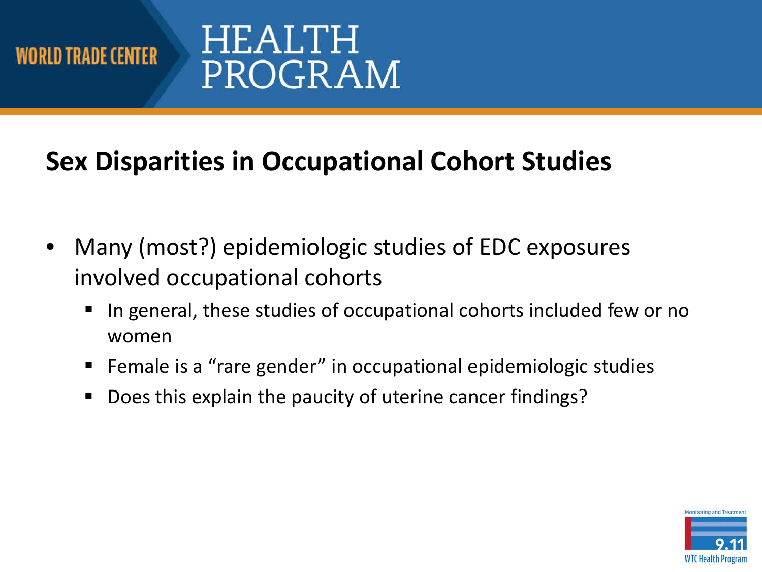

# HEALTH PROGRAM

## **Sex Disparities in Occupational Cohort Studies**

- • Many (most?) epidemiologic studies of EDC exposures involved occupational cohorts
	- In general, these studies of occupational cohorts included few or no women
	- **F** Female is a "rare gender" in occupational epidemiologic studies
	- **Does this explain the paucity of uterine cancer findings?**

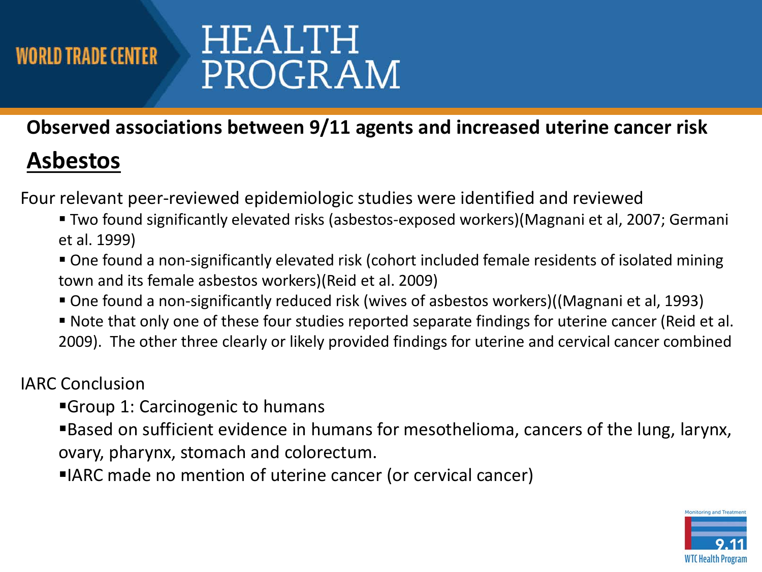# HEALTH PROGRAM

 **Observed associations between 9/11 agents and increased uterine cancer risk** 

### **Asbestos**

Four relevant peer-reviewed epidemiologic studies were identified and reviewed

- Two found significantly elevated risks (asbestos-exposed workers)(Magnani et al, 2007; Germani et al. 1999)
- One found a non-significantly elevated risk (cohort included female residents of isolated mining town and its female asbestos workers)(Reid et al. 2009)
- One found a non-significantly reduced risk (wives of asbestos workers)((Magnani et al, 1993)
- Note that only one of these four studies reported separate findings for uterine cancer (Reid et al. 2009). The other three clearly or likely provided findings for uterine and cervical cancer combined

#### IARC Conclusion

- Group 1: Carcinogenic to humans
- Based on sufficient evidence in humans for mesothelioma, cancers of the lung, larynx, ovary, pharynx, stomach and colorectum.
- IARC made no mention of uterine cancer (or cervical cancer)

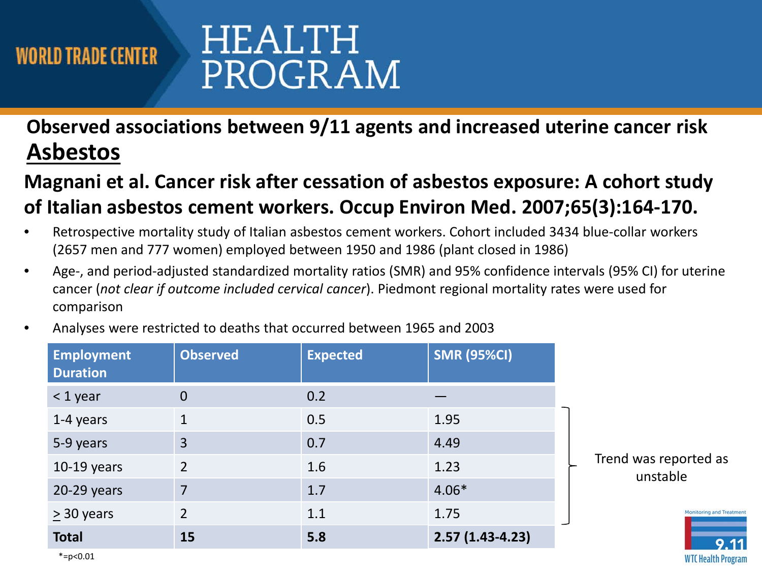# HEALTH PROGRAM

#### **Observed associations between 9/11 agents and increased uterine cancer risk Asbestos**

#### **Magnani et al. Cancer risk after cessation of asbestos exposure: A cohort study of Italian asbestos cement workers. Occup Environ Med. 2007;65(3):164-170.**

- • Retrospective mortality study of Italian asbestos cement workers. Cohort included 3434 blue-collar workers (2657 men and 777 women) employed between 1950 and 1986 (plant closed in 1986)
- • Age-, and period-adjusted standardized mortality ratios (SMR) and 95% confidence intervals (95% CI) for uterine  cancer (*not clear if outcome included cervical cancer*). Piedmont regional mortality rates were used for comparison
- Analyses were restricted to deaths that occurred between 1965 and 2003

| <b>Employment</b><br><b>Duration</b> | <b>Observed</b> | <b>Expected</b> | <b>SMR (95%CI)</b> |                                   |
|--------------------------------------|-----------------|-----------------|--------------------|-----------------------------------|
| $<$ 1 year                           | $\overline{0}$  | 0.2             |                    |                                   |
| 1-4 years                            | $\mathbf{1}$    | 0.5             | 1.95               | Trend was reported as<br>unstable |
| 5-9 years                            | $\overline{3}$  | 0.7             | 4.49               |                                   |
| $10-19$ years                        | 2               | 1.6             | 1.23               |                                   |
| $20-29$ years                        | $\overline{7}$  | 1.7             | $4.06*$            |                                   |
| $\geq$ 30 years                      | $\overline{2}$  | 1.1             | 1.75               | Monitoring and Treatment          |
| <b>Total</b>                         | 15              | 5.8             | $2.57(1.43-4.23)$  | 9.11                              |
| $*=p<0.01$                           |                 |                 |                    | <b>WTC Health Program</b>         |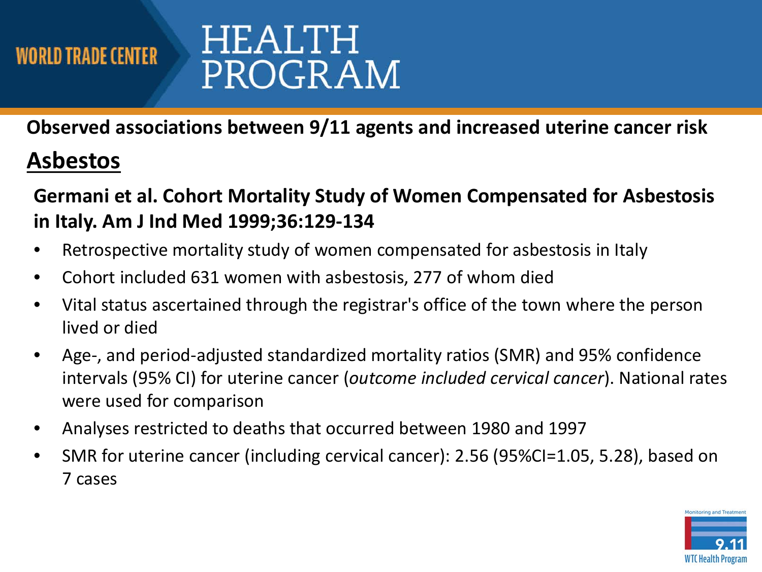## HEALTH PROGRAM

 **Observed associations between 9/11 agents and increased uterine cancer risk** 

### **Asbestos**

 **Germani et al. Cohort Mortality Study of Women Compensated for Asbestosis in Italy. Am J Ind Med 1999;36:129-134** 

- Retrospective mortality study of women compensated for asbestosis in Italy
- Cohort included 631 women with asbestosis, 277 of whom died
- • Vital status ascertained through the registrar's office of the town where the person lived or died
- • Age-, and period-adjusted standardized mortality ratios (SMR) and 95% confidence intervals (95% CI) for uterine cancer (*outcome included cervical cancer*). National rates were used for comparison
- Analyses restricted to deaths that occurred between 1980 and 1997
- • SMR for uterine cancer (including cervical cancer): 2.56 (95%CI=1.05, 5.28), based on 7 cases

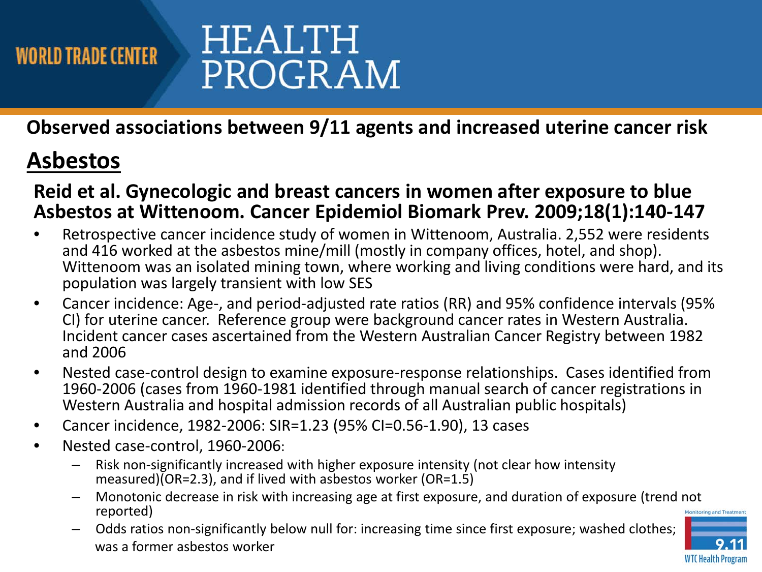

 **Observed associations between 9/11 agents and increased uterine cancer risk** 

### **Asbestos**

 **Reid et al. Gynecologic and breast cancers in women after exposure to blue Asbestos at Wittenoom. Cancer Epidemiol Biomark Prev. 2009;18(1):140-147** 

- • Retrospective cancer incidence study of women in Wittenoom, Australia. 2,552 were residents and 416 worked at the asbestos mine/mill (mostly in company offices, hotel, and shop). Wittenoom was an isolated mining town, where working and living conditions were hard, and its population was largely transient with low SES
- • Cancer incidence: Age-, and period-adjusted rate ratios (RR) and 95% confidence intervals (95% CI) for uterine cancer. Reference group were background cancer rates in Western Australia. Incident cancer cases ascertained from the Western Australian Cancer Registry between 1982 and 2006
- • Nested case-control design to examine exposure-response relationships. Cases identified from 1960-2006 (cases from 1960-1981 identified through manual search of cancer registrations in Western Australia and hospital admission records of all Australian public hospitals)
- Cancer incidence, 1982-2006: SIR=1.23 (95% CI=0.56-1.90), 13 cases
- Nested case-control, 1960-2006:
	- – Risk non-significantly increased with higher exposure intensity (not clear how intensity measured)(OR=2.3), and if lived with asbestos worker (OR=1.5)
	- – Monotonic decrease in risk with increasing age at first exposure, and duration of exposure (trend not reported) Monitoring and Treatme
	- – Odds ratios non-significantly below null for: increasing time since first exposure; washed clothes; was a former asbestos worker

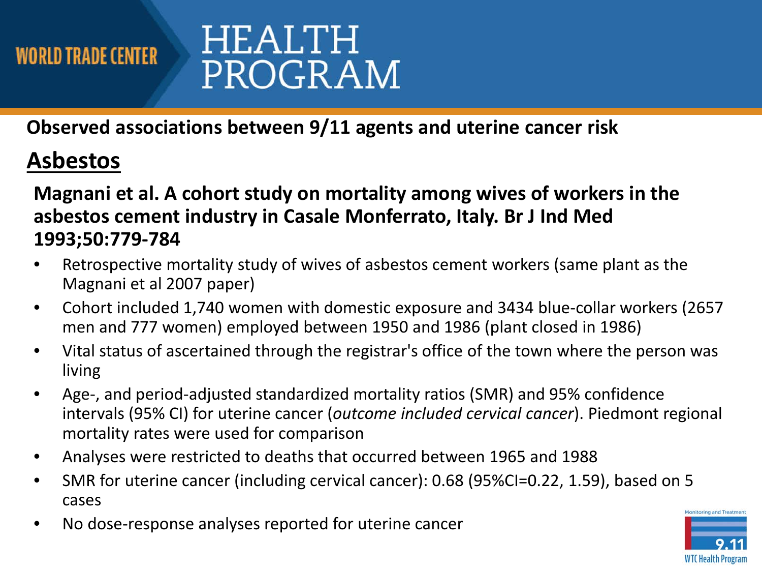## HEALTH PROGRAM

 **Observed associations between 9/11 agents and uterine cancer risk** 

### **Asbestos**

#### **Magnani et al. A cohort study on mortality among wives of workers in the asbestos cement industry in Casale Monferrato, Italy. Br J Ind Med 1993;50:779-784**

- • Retrospective mortality study of wives of asbestos cement workers (same plant as the Magnani et al 2007 paper)
- • Cohort included 1,740 women with domestic exposure and 3434 blue-collar workers (2657 men and 777 women) employed between 1950 and 1986 (plant closed in 1986)
- • Vital status of ascertained through the registrar's office of the town where the person was living
- • Age-, and period-adjusted standardized mortality ratios (SMR) and 95% confidence mortality rates were used for comparison intervals (95% CI) for uterine cancer (*outcome included cervical cancer*). Piedmont regional
- Analyses were restricted to deaths that occurred between 1965 and 1988
- SMR for uterine cancer (including cervical cancer): 0.68 (95%CI=0.22, 1.59), based on 5 cases
- No dose-response analyses reported for uterine cancer

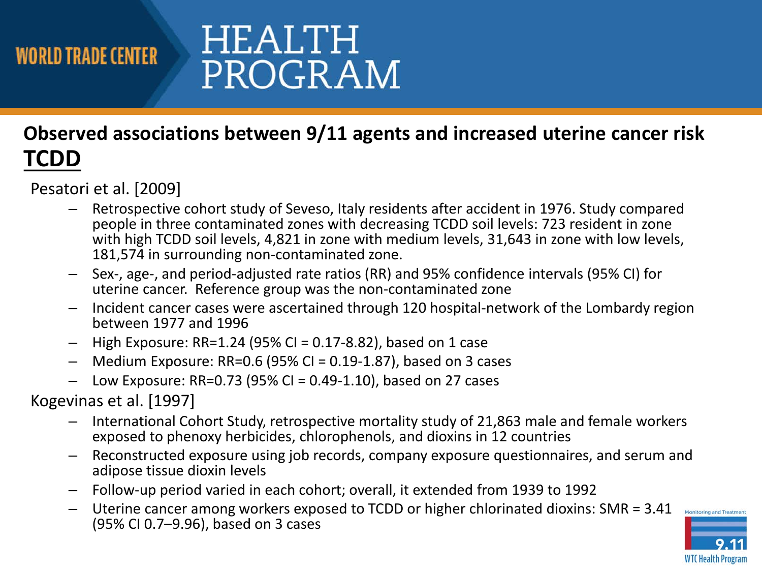# HEALTH PROGRAM

#### **Observed associations between 9/11 agents and increased uterine cancer risk TCDD**

Pesatori et al. [2009]

- – Retrospective cohort study of Seveso, Italy residents after accident in 1976. Study compared people in three contaminated zones with decreasing TCDD soil levels: 723 resident in zone with high TCDD soil levels, 4,821 in zone with medium levels, 31,643 in zone with low levels, 181,574 in surrounding non-contaminated zone.
- – Sex-, age-, and period-adjusted rate ratios (RR) and 95% confidence intervals (95% CI) for uterine cancer. Reference group was the non-contaminated zone
- – Incident cancer cases were ascertained through 120 hospital-network of the Lombardy region between 1977 and 1996
- High Exposure: RR=1.24 (95% CI = 0.17-8.82), based on 1 case
- $-$  Medium Exposure: RR=0.6 (95% CI = 0.19-1.87), based on 3 cases
- Low Exposure: RR=0.73 (95% CI = 0.49-1.10), based on 27 cases

Kogevinas et al. [1997]

- – International Cohort Study, retrospective mortality study of 21,863 male and female workers exposed to phenoxy herbicides, chlorophenols, and dioxins in 12 countries
- – Reconstructed exposure using job records, company exposure questionnaires, and serum and adipose tissue dioxin levels
- Follow-up period varied in each cohort; overall, it extended from 1939 to 1992
- – Uterine cancer among workers exposed to TCDD or higher chlorinated dioxins: SMR = 3.41 (95% CI 0.7–9.96), based on 3 cases

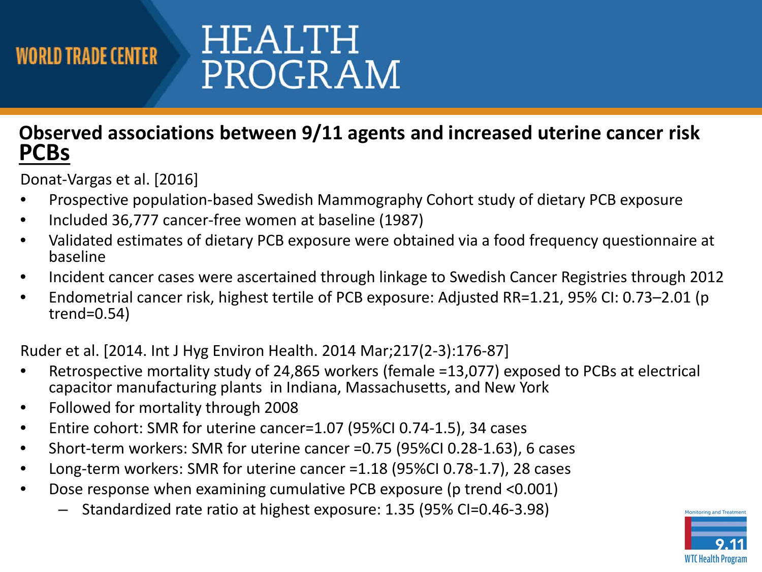# HEALTH PROGRAM

#### **Observed associations between 9/11 agents and increased uterine cancer risk PCBs**

Donat-Vargas et al. [2016]

- Prospective population-based Swedish Mammography Cohort study of dietary PCB exposure
- Included 36,777 cancer-free women at baseline (1987)
- • Validated estimates of dietary PCB exposure were obtained via a food frequency questionnaire at baseline
- Incident cancer cases were ascertained through linkage to Swedish Cancer Registries through 2012
- • Endometrial cancer risk, highest tertile of PCB exposure: Adjusted RR=1.21, 95% CI: 0.73–2.01 (p trend=0.54)

Ruder et al. [2014. Int J Hyg Environ Health. 2014 Mar;217(2-3):176-87]

- • Retrospective mortality study of 24,865 workers (female =13,077) exposed to PCBs at electrical capacitor manufacturing plants in Indiana, Massachusetts, and New York
- Followed for mortality through 2008
- Entire cohort: SMR for uterine cancer=1.07 (95%CI 0.74-1.5), 34 cases
- Short-term workers: SMR for uterine cancer =0.75 (95%CI 0.28-1.63), 6 cases
- Long-term workers: SMR for uterine cancer =1.18 (95%CI 0.78-1.7), 28 cases
- • Dose response when examining cumulative PCB exposure (p trend <0.001)
	- Standardized rate ratio at highest exposure: 1.35 (95% CI=0.46-3.98)

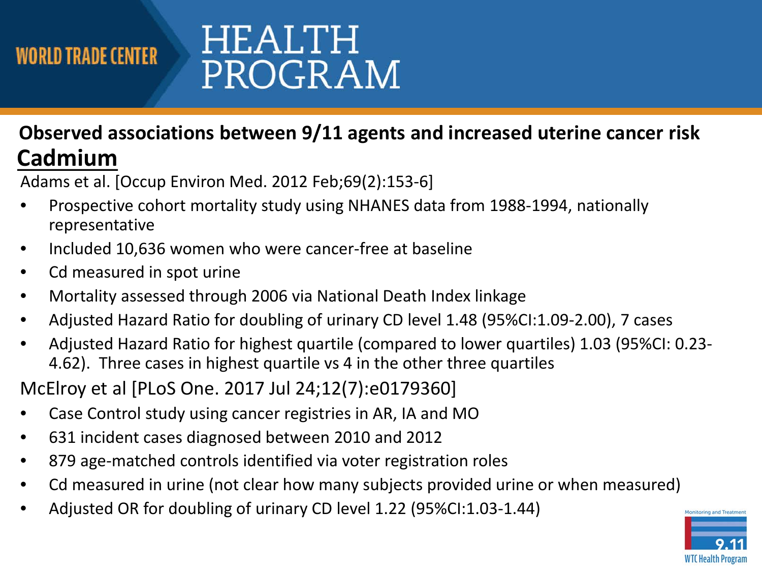# HEALTH PROGRAM

#### **Observed associations between 9/11 agents and increased uterine cancer risk Cadmium**

Adams et al. [Occup Environ Med. 2012 Feb;69(2):153-6]

- • Prospective cohort mortality study using NHANES data from 1988-1994, nationally representative
- Included 10,636 women who were cancer-free at baseline
- Cd measured in spot urine
- Mortality assessed through 2006 via National Death Index linkage
- Adjusted Hazard Ratio for doubling of urinary CD level 1.48 (95%CI:1.09-2.00), 7 cases
- 4.62). Three cases in highest quartile vs 4 in the other three quartiles • Adjusted Hazard Ratio for highest quartile (compared to lower quartiles) 1.03 (95%CI: 0.23-

McElroy et al [PLoS One. 2017 Jul 24;12(7):e0179360]

- Case Control study using cancer registries in AR, IA and MO
- 631 incident cases diagnosed between 2010 and 2012
- 879 age-matched controls identified via voter registration roles
- Cd measured in urine (not clear how many subjects provided urine or when measured)
- Adjusted OR for doubling of urinary CD level 1.22 (95%CI:1.03-1.44)

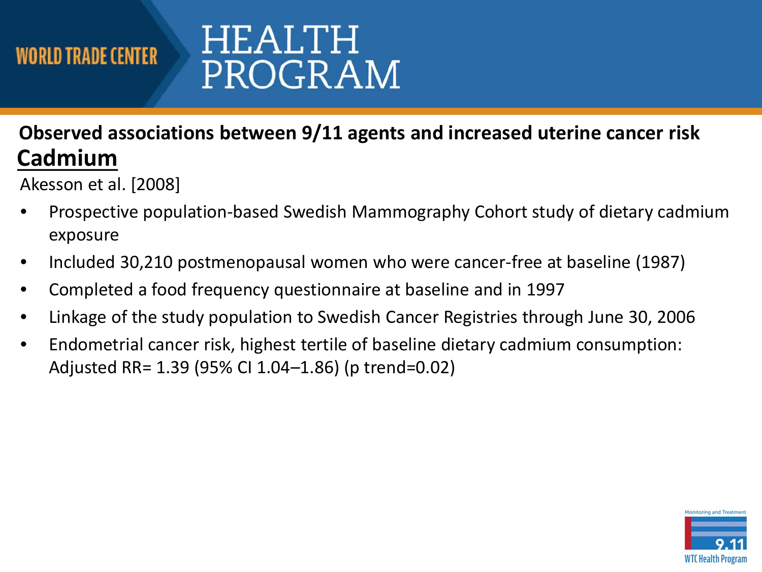# HEALTH PROGRAM

#### **Observed associations between 9/11 agents and increased uterine cancer risk Cadmium**

Akesson et al. [2008]

- • Prospective population-based Swedish Mammography Cohort study of dietary cadmium exposure
- Included 30,210 postmenopausal women who were cancer-free at baseline (1987)
- Completed a food frequency questionnaire at baseline and in 1997
- Linkage of the study population to Swedish Cancer Registries through June 30, 2006
- • Endometrial cancer risk, highest tertile of baseline dietary cadmium consumption: Adjusted RR= 1.39 (95% CI 1.04–1.86) (p trend=0.02)

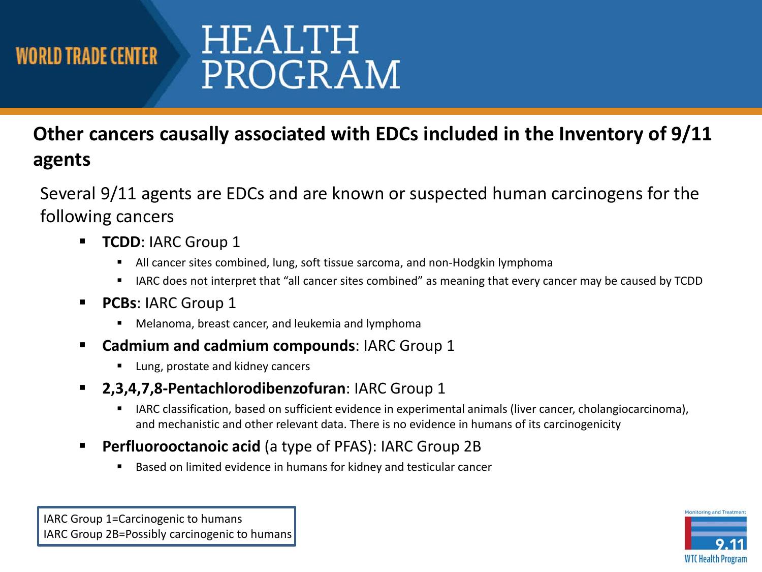## HEALTH PROGRAM

#### **Other cancers causally associated with EDCs included in the Inventory of 9/11 agents**

 Several 9/11 agents are EDCs and are known or suspected human carcinogens for the following cancers

- **TCDD: IARC Group 1** 
	- All cancer sites combined, lung, soft tissue sarcoma, and non-Hodgkin lymphoma
	- I lARC does not interpret that "all cancer sites combined" as meaning that every cancer may be caused by TCDD
- **PCBs**: IARC Group 1
	- Melanoma, breast cancer, and leukemia and lymphoma
- **Cadmium and cadmium compounds**: IARC Group 1
	- **Lung, prostate and kidney cancers**
- **2,3,4,7,8-Pentachlorodibenzofuran**: IARC Group 1
	- IARC classification, based on sufficient evidence in experimental animals (liver cancer, cholangiocarcinoma), and mechanistic and other relevant data. There is no evidence in humans of its carcinogenicity
- **Perfluorooctanoic acid** (a type of PFAS): IARC Group 2B
	- **Based on limited evidence in humans for kidney and testicular cancer**

IARC Group 1=Carcinogenic to humans IARC Group 2B=Possibly carcinogenic to humans **Monitoring and Treatme** WT( Health Program